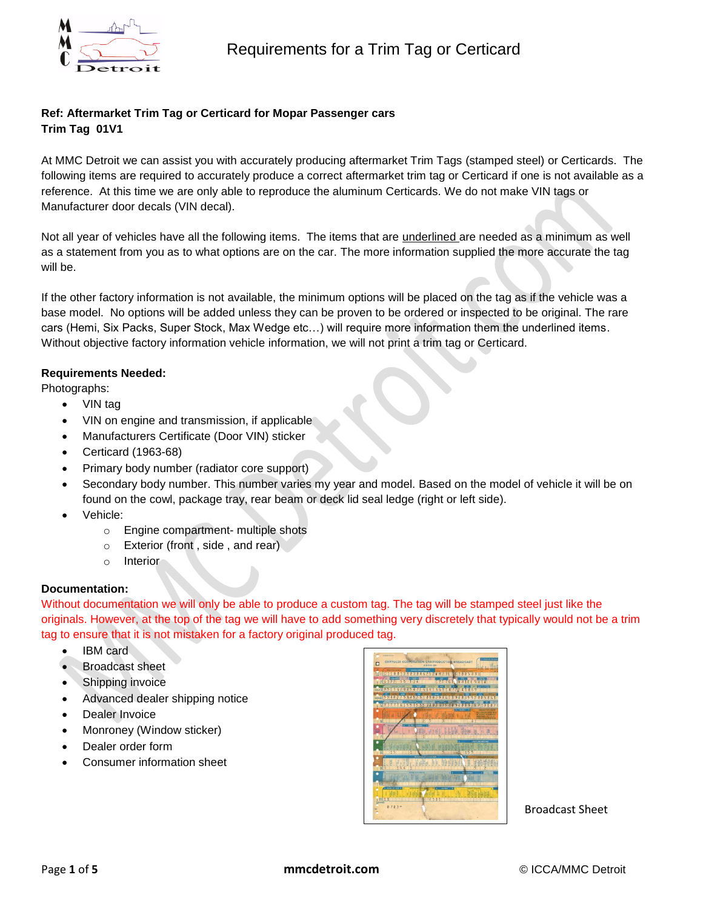

# **Ref: Aftermarket Trim Tag or Certicard for Mopar Passenger cars Trim Tag 01V1**

At MMC Detroit we can assist you with accurately producing aftermarket Trim Tags (stamped steel) or Certicards. The following items are required to accurately produce a correct aftermarket trim tag or Certicard if one is not available as a reference. At this time we are only able to reproduce the aluminum Certicards. We do not make VIN tags or Manufacturer door decals (VIN decal).

Not all year of vehicles have all the following items. The items that are underlined are needed as a minimum as well as a statement from you as to what options are on the car. The more information supplied the more accurate the tag will be.

If the other factory information is not available, the minimum options will be placed on the tag as if the vehicle was a base model. No options will be added unless they can be proven to be ordered or inspected to be original. The rare cars (Hemi, Six Packs, Super Stock, Max Wedge etc…) will require more information them the underlined items. Without objective factory information vehicle information, we will not print a trim tag or Certicard.

## **Requirements Needed:**

Photographs:

- VIN tag
- VIN on engine and transmission, if applicable
- Manufacturers Certificate (Door VIN) sticker
- Certicard (1963-68)
- Primary body number (radiator core support)
- Secondary body number. This number varies my year and model. Based on the model of vehicle it will be on found on the cowl, package tray, rear beam or deck lid seal ledge (right or left side).
- Vehicle:
	- o Engine compartment- multiple shots
	- o Exterior (front , side , and rear)
	- o Interior

#### **Documentation:**

Without documentation we will only be able to produce a custom tag. The tag will be stamped steel just like the originals. However, at the top of the tag we will have to add something very discretely that typically would not be a trim tag to ensure that it is not mistaken for a factory original produced tag.

- IBM card
- Broadcast sheet
- Shipping invoice
- Advanced dealer shipping notice
- Dealer Invoice
- Monroney (Window sticker)
- Dealer order form
- Consumer information sheet



Broadcast Sheet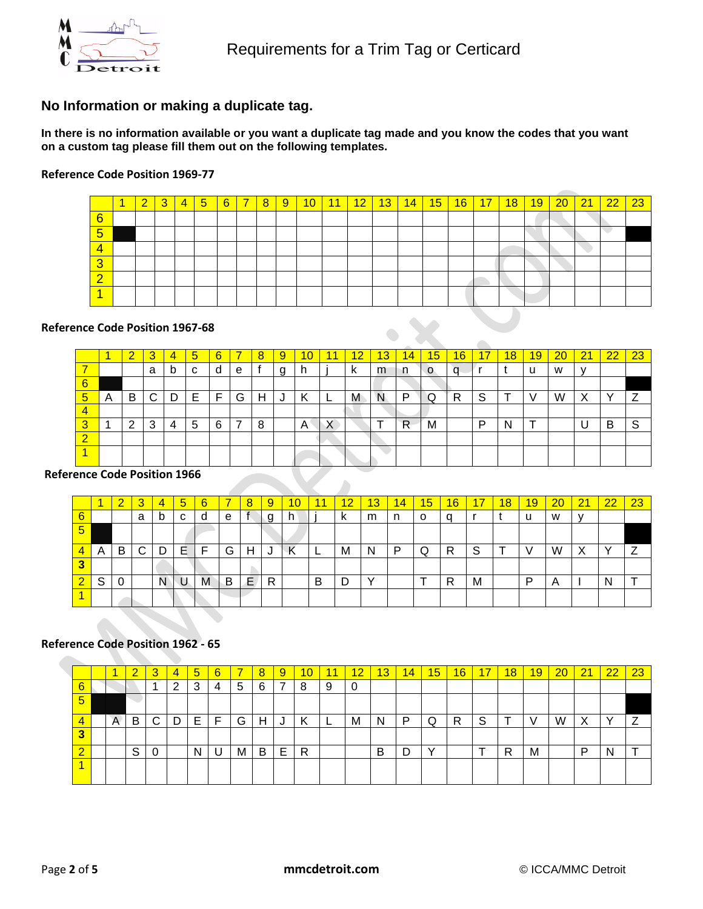

# **No Information or making a duplicate tag.**

**In there is no information available or you want a duplicate tag made and you know the codes that you want on a custom tag please fill them out on the following templates.** 

#### **Reference Code Position 1969-77**

|                        |  | 3 | $\overline{4}$ | $5\overline{)}$ | 6 | $\overline{\mathbf{z}}$ | 8 | 9 | 10 | 11 | 12 | 13 <sup>°</sup> | 14 | 15 | 16 | 17 | 18 | 19 | 20 | 21 | 22 | 23 |
|------------------------|--|---|----------------|-----------------|---|-------------------------|---|---|----|----|----|-----------------|----|----|----|----|----|----|----|----|----|----|
| $6\phantom{1}6$        |  |   |                |                 |   |                         |   |   |    |    |    |                 |    |    |    |    |    |    |    |    |    |    |
| 5                      |  |   |                |                 |   |                         |   |   |    |    |    |                 |    |    |    |    |    |    |    |    |    |    |
| 4                      |  |   |                |                 |   |                         |   |   |    |    |    |                 |    |    |    |    |    |    |    |    |    |    |
| $\mathbf{\Omega}$<br>J |  |   |                |                 |   |                         |   |   |    |    |    |                 |    |    |    |    |    |    |    |    |    |    |
| ົ                      |  |   |                |                 |   |                         |   |   |    |    |    |                 |    |    |    |    |    |    |    |    |    |    |
|                        |  |   |                |                 |   |                         |   |   |    |    |    |                 |    |    |    |    |    |    |    |    |    |    |

 $\blacksquare$ 

#### **Reference Code Position 1967-68**

|   |   | $\sqrt{2}$<br><b>.</b> | 3 | 4 | 5 | 6 |   | 8 | 9 | 10 |           | 12 | 13 | 14. | 15 | 16 | 17 | 18 | 19 | 20 | 21 | 22 | 23 |
|---|---|------------------------|---|---|---|---|---|---|---|----|-----------|----|----|-----|----|----|----|----|----|----|----|----|----|
|   |   |                        | a | b | C | d | e |   | a | h  |           | k  | m  | n   | O  |    |    |    | u  | W  | v  |    |    |
| 6 |   |                        |   |   |   |   |   |   |   |    |           |    |    |     |    |    |    |    |    |    |    |    |    |
| ь | A | B                      | C | D | Е | F | G | Н | J | К  | <u>.</u>  | M  | N  | P   | Q  | R  | S  | Ŧ  |    | W  | X  |    |    |
|   |   |                        |   |   |   |   |   |   |   |    |           |    |    |     |    |    |    |    |    |    |    |    |    |
| w |   | 2                      | 3 | 4 | 5 | 6 | 7 | 8 |   | A  | $\lambda$ |    |    | R   | M  |    | D  | N  |    |    |    | B  | S  |
| ⌒ |   |                        |   |   |   |   |   |   |   |    |           |    |    |     |    |    |    |    |    |    |    |    |    |
|   |   |                        |   |   |   |   |   |   |   |    |           |    |    |     |    |    |    |    |    |    |    |    |    |

#### **Reference Code Position 1966**

|             |   | 2 | 3  | 4 | $\overline{5}$ | 6 |   | 8  | 9 | 10 | 11 | $12 \,$ | 13 | $\overline{14}$ | 15 | 16 | 17 | 18 | 19 | 20 | 21 | $\overline{22}$ | 23 |
|-------------|---|---|----|---|----------------|---|---|----|---|----|----|---------|----|-----------------|----|----|----|----|----|----|----|-----------------|----|
| $\sim$<br>6 |   |   | a  | b | C              | d | е |    |   | h. |    | n.      | m  | n.              | O  |    |    |    | u  | W  |    |                 |    |
| 5           |   |   |    |   |                |   |   |    |   |    |    |         |    |                 |    |    |    |    |    |    |    |                 |    |
|             | A | B | C. | D | Е              | Е | G | н  | J | К  | ┕  | М       | N  | P               | Q  | R  | S  |    |    | W  | X  |                 |    |
|             |   |   |    |   |                |   |   |    |   |    |    |         |    |                 |    |    |    |    |    |    |    |                 |    |
|             | S | 0 |    | N |                | Μ | B | Ε, | R |    | B  | n       |    |                 |    | R  | M  |    | P  | A  |    |                 |    |
|             |   |   |    |   |                |   |   |    |   |    |    |         |    |                 |    |    |    |    |    |    |    |                 |    |

 $\blacktriangle$ 

## **Reference Code Position 1962 - 65**

|        |   | $\overline{\mathbf{2}}$ | 3 | 4 | $5\phantom{.0}$ | 6 |   | 8 | 9 | 10 | 11 | 12 | 13 | 14 | 15 | 16 | 17 | 18 | 19 | 20 | 21 | 22           | 23 |
|--------|---|-------------------------|---|---|-----------------|---|---|---|---|----|----|----|----|----|----|----|----|----|----|----|----|--------------|----|
| $\sim$ |   |                         |   | റ | 3               | 4 | 5 | 6 | 7 | 8  | 9  | 0  |    |    |    |    |    |    |    |    |    |              |    |
| 5      |   |                         |   |   |                 |   |   |   |   |    |    |    |    |    |    |    |    |    |    |    |    |              |    |
|        | A | B                       | С | D | Е               | Е | G | н | J | Κ  | ►  | M  | N  | D  | Q  | R  | S  | ÷  |    | W  | X  | $\checkmark$ | ⇁  |
|        |   |                         |   |   |                 |   |   |   |   |    |    |    |    |    |    |    |    |    |    |    |    |              |    |
|        |   | S                       | 0 |   | N               |   | M | B | E | R  |    |    | B  | n  |    |    |    | R  | M  |    | D  | N            |    |
|        |   |                         |   |   |                 |   |   |   |   |    |    |    |    |    |    |    |    |    |    |    |    |              |    |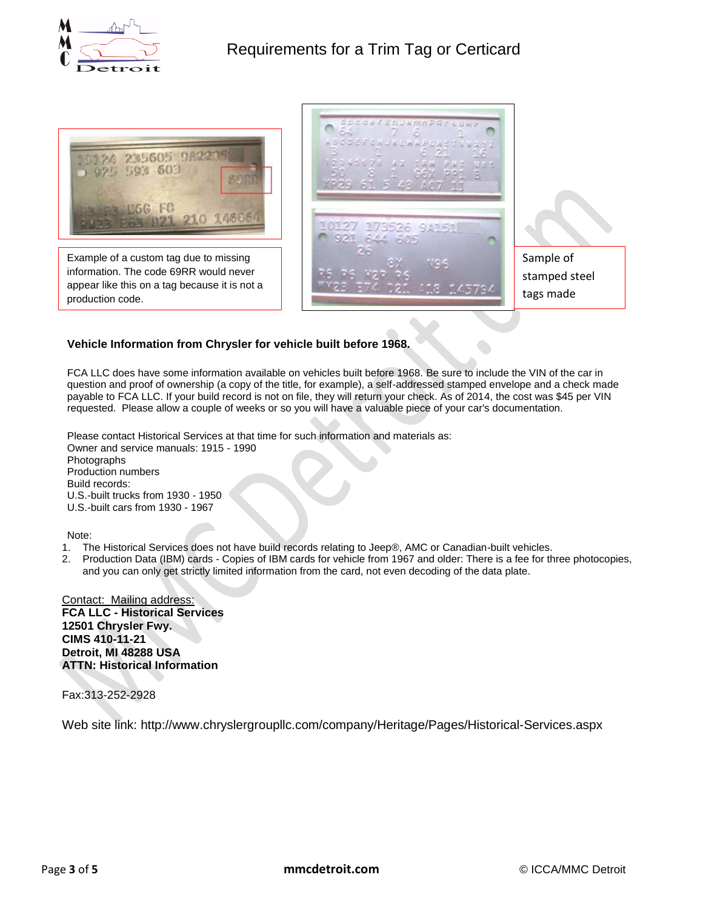



Example of a custom tag due to missing information. The code 69RR would never appear like this on a tag because it is not a production code.



## **Vehicle Information from Chrysler for vehicle built before 1968.**

FCA LLC does have some information available on vehicles built before 1968. Be sure to include the VIN of the car in question and proof of ownership (a copy of the title, for example), a self-addressed stamped envelope and a check made payable to FCA LLC. If your build record is not on file, they will return your check. As of 2014, the cost was \$45 per VIN requested. Please allow a couple of weeks or so you will have a valuable piece of your car's documentation.

Please contact Historical Services at that time for such information and materials as: Owner and service manuals: 1915 - 1990 Photographs Production numbers Build records: U.S.-built trucks from 1930 - 1950 U.S.-built cars from 1930 - 1967

Note:

- 1. The Historical Services does not have build records relating to Jeep®, AMC or Canadian-built vehicles.
- 2. Production Data (IBM) cards Copies of IBM cards for vehicle from 1967 and older: There is a fee for three photocopies, and you can only get strictly limited information from the card, not even decoding of the data plate.

Contact: Mailing address: **FCA LLC - Historical Services 12501 Chrysler Fwy. CIMS 410-11-21 Detroit, MI 48288 USA ATTN: Historical Information**

Fax:313-252-2928

Web site link: http://www.chryslergroupllc.com/company/Heritage/Pages/Historical-Services.aspx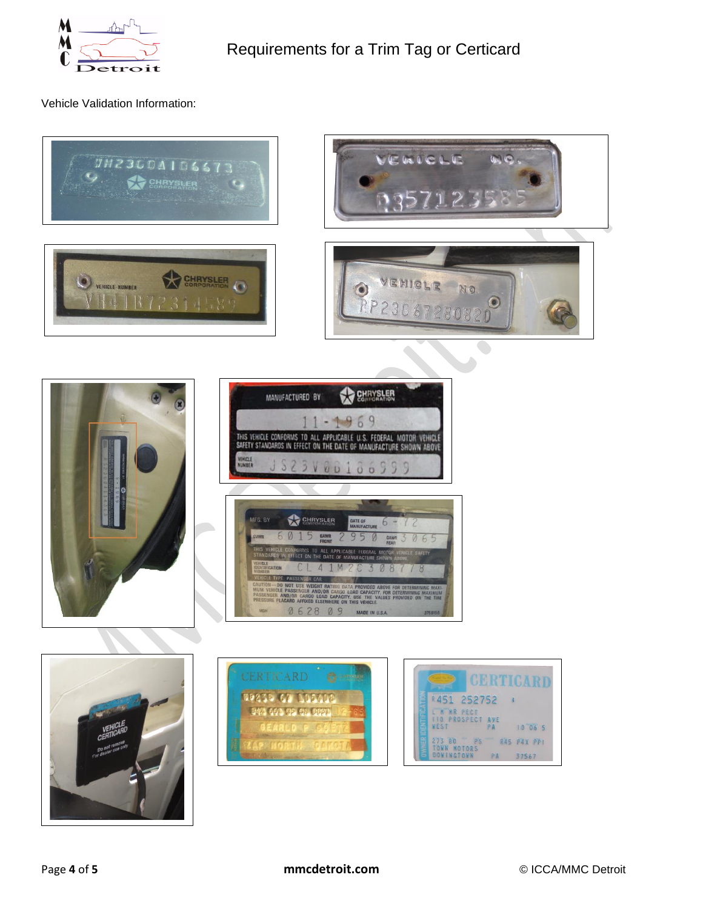

Vehicle Validation Information: